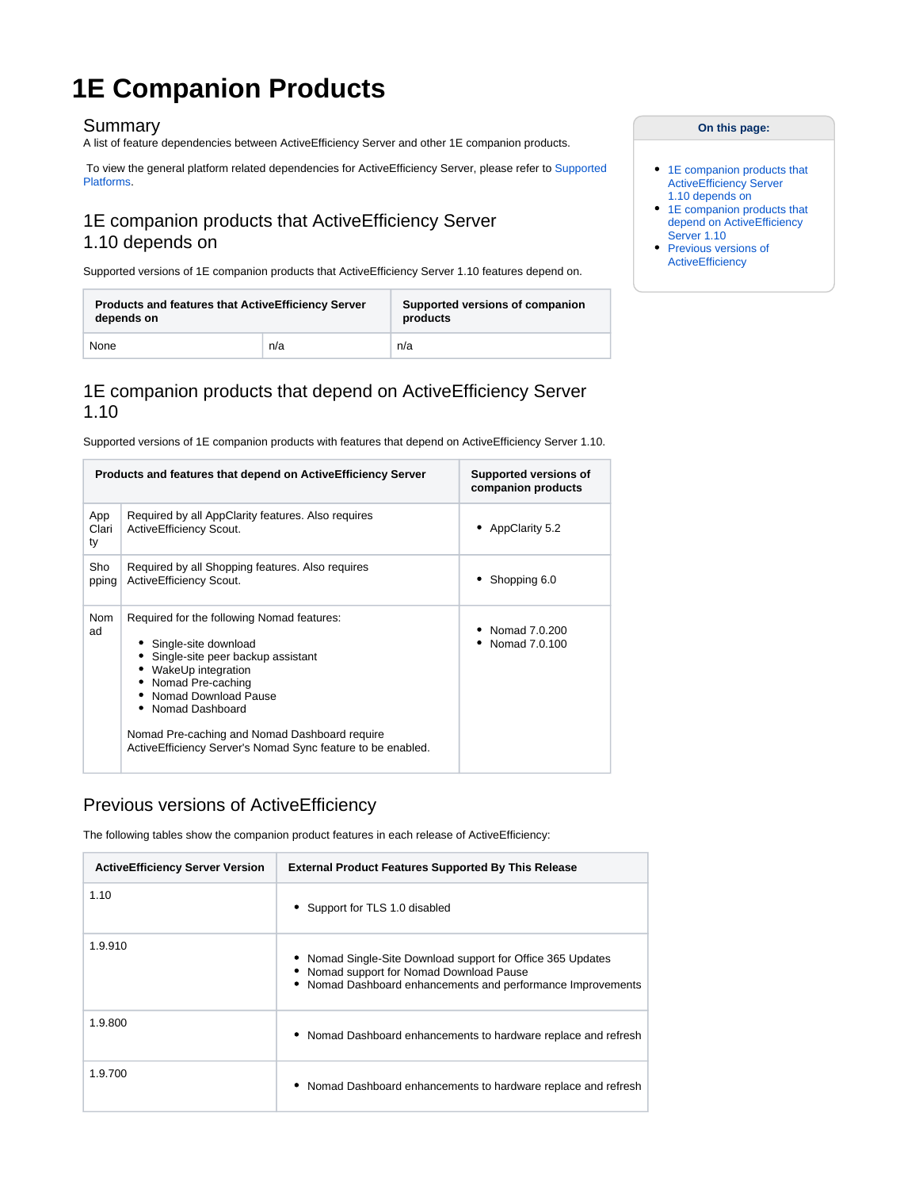# **1E Companion Products**

#### Summary

A list of feature dependencies between ActiveEfficiency Server and other 1E companion products.

 To view the general platform related dependencies for ActiveEfficiency Server, please refer to [Supported](https://help.1e.com/display/AES110/Supported+Platforms)  [Platforms](https://help.1e.com/display/AES110/Supported+Platforms).

### <span id="page-0-0"></span>1E companion products that ActiveEfficiency Server 1.10 depends on

Supported versions of 1E companion products that ActiveEfficiency Server 1.10 features depend on.

| <b>Products and features that ActiveEfficiency Server</b> |     | Supported versions of companion |  |  |
|-----------------------------------------------------------|-----|---------------------------------|--|--|
| depends on                                                |     | products                        |  |  |
| None                                                      | n/a | n/a                             |  |  |

### <span id="page-0-1"></span>1E companion products that depend on ActiveEfficiency Server 1.10

Supported versions of 1E companion products with features that depend on ActiveEfficiency Server 1.10.

|                    | Products and features that depend on Active Efficiency Server                                                                                                                                                                                                                                                           | Supported versions of<br>companion products |
|--------------------|-------------------------------------------------------------------------------------------------------------------------------------------------------------------------------------------------------------------------------------------------------------------------------------------------------------------------|---------------------------------------------|
| App<br>Clari<br>ty | Required by all AppClarity features. Also requires<br>ActiveEfficiency Scout.                                                                                                                                                                                                                                           | AppClarity 5.2                              |
| Sho<br>pping       | Required by all Shopping features. Also requires<br>ActiveEfficiency Scout.                                                                                                                                                                                                                                             | Shopping 6.0                                |
| Nom<br>ad          | Required for the following Nomad features:<br>• Single-site download<br>• Single-site peer backup assistant<br>• WakeUp integration<br>• Nomad Pre-caching<br>Nomad Download Pause<br>• Nomad Dashboard<br>Nomad Pre-caching and Nomad Dashboard require<br>ActiveEfficiency Server's Nomad Sync feature to be enabled. | Nomad 7.0.200<br>Nomad 7.0.100              |

## <span id="page-0-2"></span>Previous versions of ActiveEfficiency

The following tables show the companion product features in each release of ActiveEfficiency:

| <b>ActiveEfficiency Server Version</b> | <b>External Product Features Supported By This Release</b>                                                                                                             |
|----------------------------------------|------------------------------------------------------------------------------------------------------------------------------------------------------------------------|
| 1.10                                   | • Support for TLS 1.0 disabled                                                                                                                                         |
| 1.9.910                                | • Nomad Single-Site Download support for Office 365 Updates<br>• Nomad support for Nomad Download Pause<br>• Nomad Dashboard enhancements and performance Improvements |
| 1.9.800                                | • Nomad Dashboard enhancements to hardware replace and refresh                                                                                                         |
| 1.9.700                                | • Nomad Dashboard enhancements to hardware replace and refresh                                                                                                         |

#### **On this page:**

- 1E companion products that ActiveEfficiency Server [1.10 depends on](#page-0-0)
- 1E companion products that [depend on ActiveEfficiency](#page-0-1)  [Server 1.10](#page-0-1)
- Previous versions of **[ActiveEfficiency](#page-0-2)**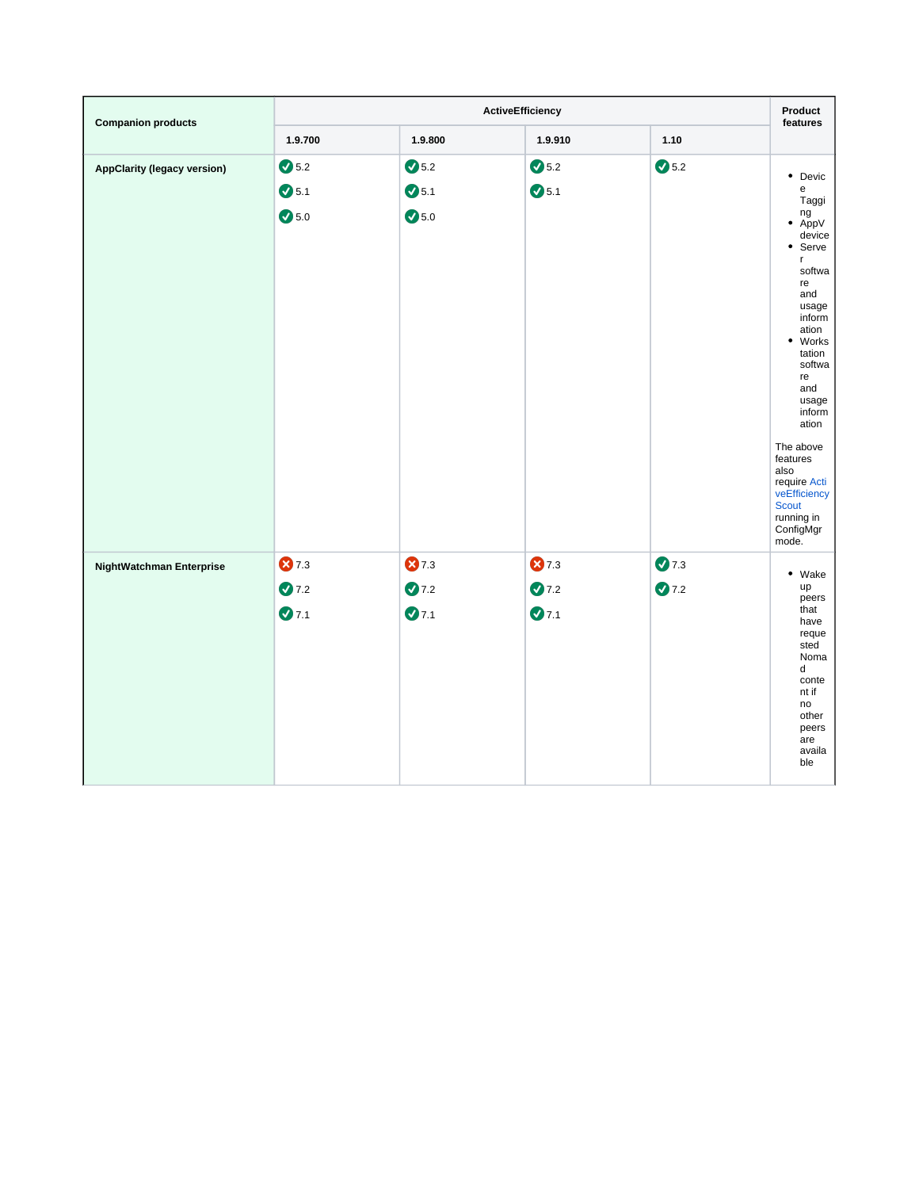| <b>Companion products</b>          | <b>ActiveEfficiency</b> |                |                |                | Product<br>features                                                                                                                                                                                                                                                                               |
|------------------------------------|-------------------------|----------------|----------------|----------------|---------------------------------------------------------------------------------------------------------------------------------------------------------------------------------------------------------------------------------------------------------------------------------------------------|
|                                    | 1.9.700                 | 1.9.800        | 1.9.910        | 1.10           |                                                                                                                                                                                                                                                                                                   |
| <b>AppClarity (legacy version)</b> | $\bigcirc$ 5.2          | $\bigcirc$ 5.2 | $\bigcirc$ 5.2 | $\bigcirc$ 5.2 | • Devic                                                                                                                                                                                                                                                                                           |
|                                    | $\bullet$ 5.1           | $\bigcirc$ 5.1 | $\bigcirc$ 5.1 |                | e<br>Taggi                                                                                                                                                                                                                                                                                        |
|                                    | $\bigcirc$ 5.0          | $\bigcirc$ 5.0 |                |                | ng<br>AppV<br>$\bullet$<br>device<br>• Serve<br>r<br>softwa<br>re<br>and<br>usage<br>inform<br>ation<br>• Works<br>tation<br>softwa<br>re<br>and<br>usage<br>inform<br>ation<br>The above<br>features<br>also<br>require Acti<br>veEfficiency<br><b>Scout</b><br>running in<br>ConfigMgr<br>mode. |
| NightWatchman Enterprise           | 87.3                    | 87.3           | 87.3           | 27.3           |                                                                                                                                                                                                                                                                                                   |
|                                    | 27.2                    | 27.2           | 27.2           | 27.2           | • Wake<br>up                                                                                                                                                                                                                                                                                      |
|                                    | 27.1                    | $Q$ 7.1        | 27.1           |                | peers<br>that<br>have<br>reque<br>sted<br>Noma<br>d<br>conte<br>nt if<br>no<br>other<br>peers<br>are<br>availa<br>ble                                                                                                                                                                             |